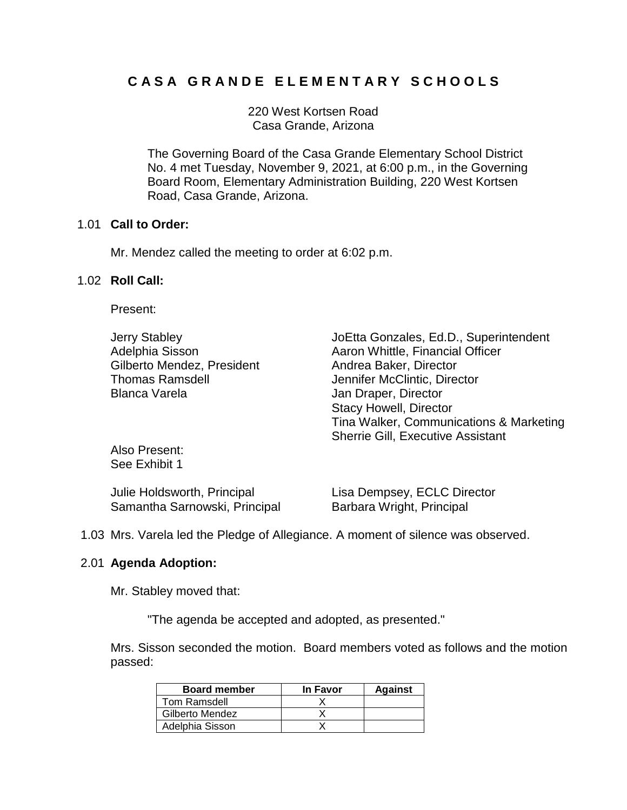# **C A S A G R A N D E E L E M E N T A R Y S C H O O L S**

220 West Kortsen Road Casa Grande, Arizona

The Governing Board of the Casa Grande Elementary School District No. 4 met Tuesday, November 9, 2021, at 6:00 p.m., in the Governing Board Room, Elementary Administration Building, 220 West Kortsen Road, Casa Grande, Arizona.

## 1.01 **Call to Order:**

Mr. Mendez called the meeting to order at 6:02 p.m.

## 1.02 **Roll Call:**

Present:

Gilberto Mendez, President **Andrea Baker**, Director Thomas Ramsdell Jennifer McClintic, Director Blanca Varela **Jan Draper**, Director

Jerry Stabley JoEtta Gonzales, Ed.D., Superintendent Adelphia Sisson **Aaron Whittle, Financial Officer** Adelphia Sisson Stacy Howell, Director Tina Walker, Communications & Marketing Sherrie Gill, Executive Assistant

Also Present: See Exhibit 1

| Julie Holdsworth, Principal   | Lisa Dempsey, ECLC Director |
|-------------------------------|-----------------------------|
| Samantha Sarnowski, Principal | Barbara Wright, Principal   |

1.03 Mrs. Varela led the Pledge of Allegiance. A moment of silence was observed.

# 2.01 **Agenda Adoption:**

Mr. Stabley moved that:

"The agenda be accepted and adopted, as presented."

Mrs. Sisson seconded the motion. Board members voted as follows and the motion passed:

| <b>Board member</b> | In Favor | <b>Against</b> |
|---------------------|----------|----------------|
| Tom Ramsdell        |          |                |
| Gilberto Mendez     |          |                |
| Adelphia Sisson     |          |                |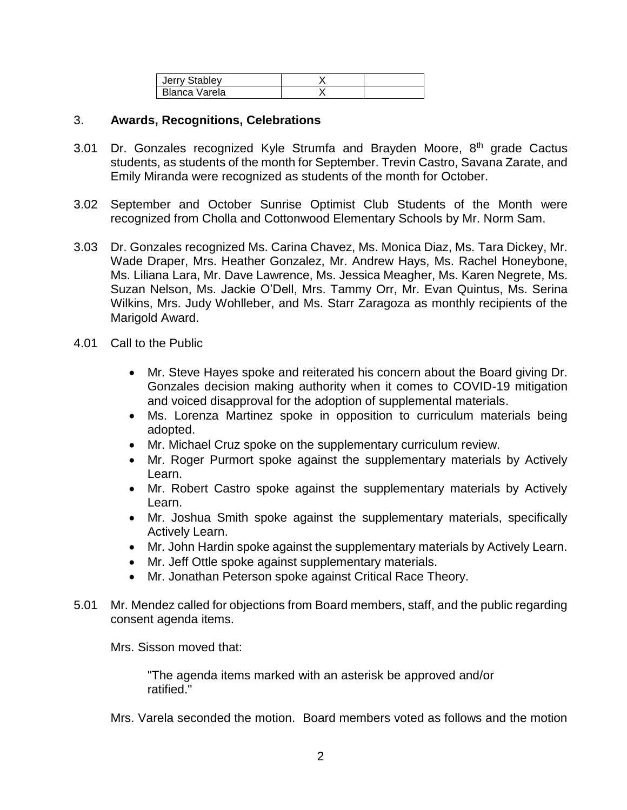| Jerry Stabley |  |
|---------------|--|
| Blanca Varela |  |

## 3. **Awards, Recognitions, Celebrations**

- 3.01 Dr. Gonzales recognized Kyle Strumfa and Brayden Moore,  $8<sup>th</sup>$  grade Cactus students, as students of the month for September. Trevin Castro, Savana Zarate, and Emily Miranda were recognized as students of the month for October.
- 3.02 September and October Sunrise Optimist Club Students of the Month were recognized from Cholla and Cottonwood Elementary Schools by Mr. Norm Sam.
- 3.03 Dr. Gonzales recognized Ms. Carina Chavez, Ms. Monica Diaz, Ms. Tara Dickey, Mr. Wade Draper, Mrs. Heather Gonzalez, Mr. Andrew Hays, Ms. Rachel Honeybone, Ms. Liliana Lara, Mr. Dave Lawrence, Ms. Jessica Meagher, Ms. Karen Negrete, Ms. Suzan Nelson, Ms. Jackie O'Dell, Mrs. Tammy Orr, Mr. Evan Quintus, Ms. Serina Wilkins, Mrs. Judy Wohlleber, and Ms. Starr Zaragoza as monthly recipients of the Marigold Award.
- 4.01 Call to the Public
	- Mr. Steve Hayes spoke and reiterated his concern about the Board giving Dr. Gonzales decision making authority when it comes to COVID-19 mitigation and voiced disapproval for the adoption of supplemental materials.
	- Ms. Lorenza Martinez spoke in opposition to curriculum materials being adopted.
	- Mr. Michael Cruz spoke on the supplementary curriculum review.
	- Mr. Roger Purmort spoke against the supplementary materials by Actively Learn.
	- Mr. Robert Castro spoke against the supplementary materials by Actively Learn.
	- Mr. Joshua Smith spoke against the supplementary materials, specifically Actively Learn.
	- Mr. John Hardin spoke against the supplementary materials by Actively Learn.
	- Mr. Jeff Ottle spoke against supplementary materials.
	- Mr. Jonathan Peterson spoke against Critical Race Theory.
- 5.01 Mr. Mendez called for objections from Board members, staff, and the public regarding consent agenda items.

Mrs. Sisson moved that:

"The agenda items marked with an asterisk be approved and/or ratified."

Mrs. Varela seconded the motion. Board members voted as follows and the motion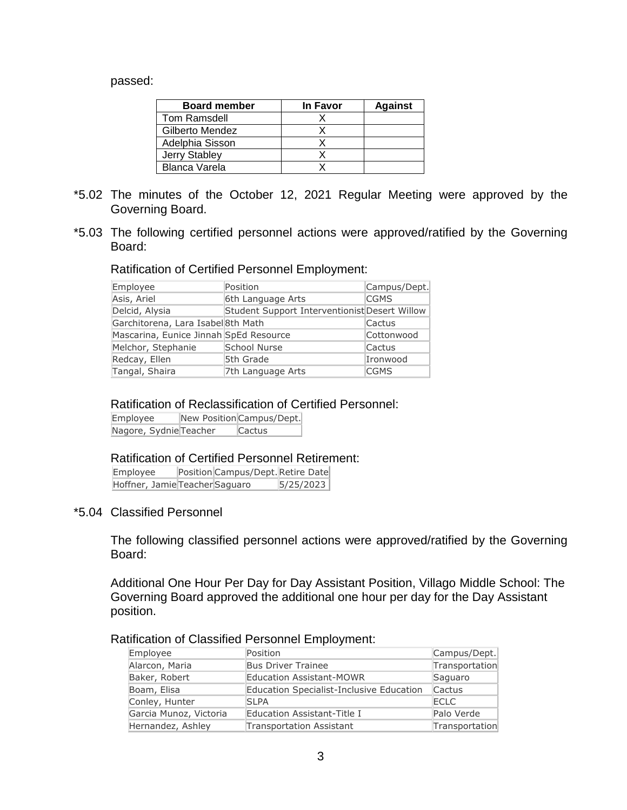#### passed:

| <b>Board member</b>  | In Favor | <b>Against</b> |
|----------------------|----------|----------------|
| Tom Ramsdell         |          |                |
| Gilberto Mendez      |          |                |
| Adelphia Sisson      |          |                |
| <b>Jerry Stabley</b> |          |                |
| Blanca Varela        |          |                |

- \*5.02 The minutes of the October 12, 2021 Regular Meeting were approved by the Governing Board.
- \*5.03 The following certified personnel actions were approved/ratified by the Governing Board:

#### Ratification of Certified Personnel Employment:

| Employee                               | Position                                      | Campus/Dept. |
|----------------------------------------|-----------------------------------------------|--------------|
| Asis, Ariel                            | 6th Language Arts                             | <b>CGMS</b>  |
| Delcid, Alysia                         | Student Support Interventionist Desert Willow |              |
| Garchitorena, Lara Isabel 8th Math     |                                               | Cactus       |
| Mascarina, Eunice Jinnah SpEd Resource |                                               | Cottonwood   |
| Melchor, Stephanie                     | School Nurse                                  | Cactus       |
| Redcay, Ellen                          | 5th Grade                                     | Ironwood     |
| Tangal, Shaira                         | 7th Language Arts                             | <b>CGMS</b>  |

#### Ratification of Reclassification of Certified Personnel:

Employee New Position Campus/Dept. Nagore, Sydnie Teacher Cactus

#### Ratification of Certified Personnel Retirement:

Employee Position Campus/Dept. Retire Date Hoffner, Jamie Teacher Saguaro 5/25/2023

#### \*5.04 Classified Personnel

The following classified personnel actions were approved/ratified by the Governing Board:

Additional One Hour Per Day for Day Assistant Position, Villago Middle School: The Governing Board approved the additional one hour per day for the Day Assistant position.

# Ratification of Classified Personnel Employment:

| Employee               | Position                                 | Campus/Dept.   |
|------------------------|------------------------------------------|----------------|
| Alarcon, Maria         | <b>Bus Driver Trainee</b>                | Transportation |
| Baker, Robert          | <b>Education Assistant-MOWR</b>          | Saguaro        |
| Boam, Elisa            | Education Specialist-Inclusive Education | Cactus         |
| Conley, Hunter         | <b>SLPA</b>                              | <b>ECLC</b>    |
| Garcia Munoz, Victoria | Education Assistant-Title I              | Palo Verde     |
| Hernandez, Ashley      | <b>Transportation Assistant</b>          | Transportation |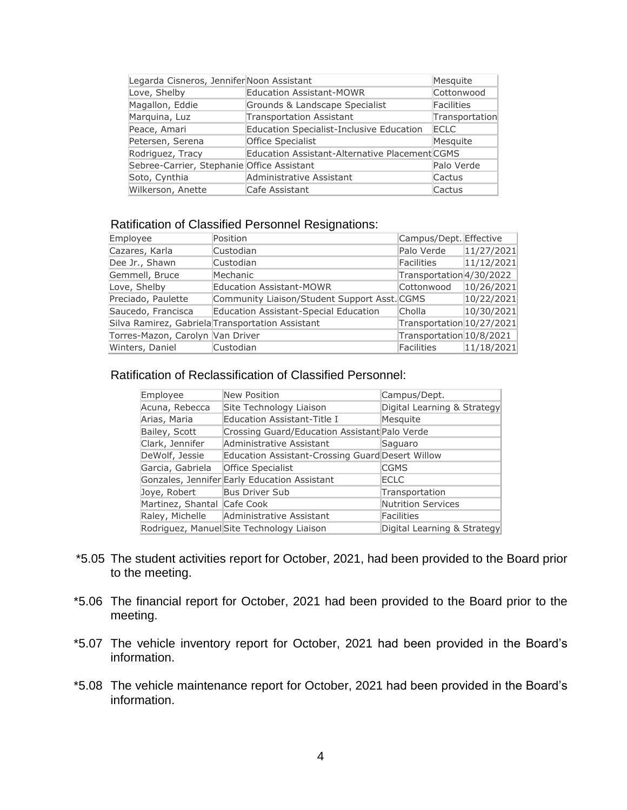| Legarda Cisneros, Jennifer Noon Assistant  |                                                | Mesquite          |
|--------------------------------------------|------------------------------------------------|-------------------|
| Love, Shelby                               | <b>Education Assistant-MOWR</b>                | Cottonwood        |
| Magallon, Eddie                            | Grounds & Landscape Specialist                 | <b>Facilities</b> |
| Marquina, Luz                              | <b>Transportation Assistant</b>                | Transportation    |
| Peace, Amari                               | Education Specialist-Inclusive Education       | <b>ECLC</b>       |
| Petersen, Serena                           | <b>Office Specialist</b>                       | Mesquite          |
| Rodriguez, Tracy                           | Education Assistant-Alternative Placement CGMS |                   |
| Sebree-Carrier, Stephanie Office Assistant |                                                | Palo Verde        |
| Soto, Cynthia                              | Administrative Assistant                       | Cactus            |
| Wilkerson, Anette                          | Cafe Assistant                                 | Cactus            |

## Ratification of Classified Personnel Resignations:

| Employee                         | Position                                         | Campus/Dept. Effective    |            |
|----------------------------------|--------------------------------------------------|---------------------------|------------|
| Cazares, Karla                   | Custodian                                        | Palo Verde                | 11/27/2021 |
| Dee Jr., Shawn                   | Custodian                                        | <b>Facilities</b>         | 11/12/2021 |
| Gemmell, Bruce                   | Mechanic                                         | Transportation 4/30/2022  |            |
| Love, Shelby                     | <b>Education Assistant-MOWR</b>                  | Cottonwood                | 10/26/2021 |
| Preciado, Paulette               | Community Liaison/Student Support Asst. CGMS     |                           | 10/22/2021 |
| Saucedo, Francisca               | Education Assistant-Special Education            | Cholla                    | 10/30/2021 |
|                                  | Silva Ramirez, Gabriela Transportation Assistant | Transportation 10/27/2021 |            |
| Torres-Mazon, Carolyn Van Driver |                                                  | Transportation 10/8/2021  |            |
| Winters, Daniel                  | Custodian                                        | <b>Facilities</b>         | 11/18/2021 |

# Ratification of Reclassification of Classified Personnel:

| Employee                    | <b>New Position</b>                              | Campus/Dept.                |
|-----------------------------|--------------------------------------------------|-----------------------------|
| Acuna, Rebecca              | Site Technology Liaison                          | Digital Learning & Strategy |
| Arias, Maria                | Education Assistant-Title I                      | Mesquite                    |
| Bailey, Scott               | Crossing Guard/Education Assistant Palo Verde    |                             |
| Clark, Jennifer             | Administrative Assistant                         | Saguaro                     |
| DeWolf, Jessie              | Education Assistant-Crossing Guard Desert Willow |                             |
| Garcia, Gabriela            | Office Specialist                                | <b>CGMS</b>                 |
|                             | Gonzales, Jennifer Early Education Assistant     | <b>ECLC</b>                 |
| Joye, Robert                | <b>Bus Driver Sub</b>                            | Transportation              |
| Martinez, Shantal Cafe Cook |                                                  | <b>Nutrition Services</b>   |
| Raley, Michelle             | Administrative Assistant                         | <b>Facilities</b>           |
|                             | Rodriguez, Manuel Site Technology Liaison        | Digital Learning & Strategy |

- \*5.05 The student activities report for October, 2021, had been provided to the Board prior to the meeting.
- \*5.06 The financial report for October, 2021 had been provided to the Board prior to the meeting.
- \*5.07 The vehicle inventory report for October, 2021 had been provided in the Board's information.
- \*5.08 The vehicle maintenance report for October, 2021 had been provided in the Board's information.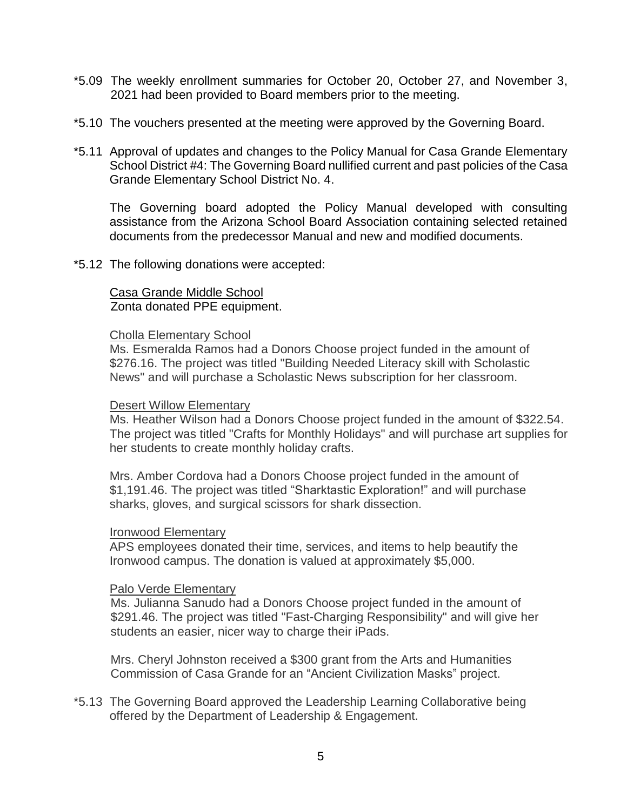- \*5.09 The weekly enrollment summaries for October 20, October 27, and November 3, 2021 had been provided to Board members prior to the meeting.
- \*5.10 The vouchers presented at the meeting were approved by the Governing Board.
- \*5.11 Approval of updates and changes to the Policy Manual for Casa Grande Elementary School District #4: The Governing Board nullified current and past policies of the Casa Grande Elementary School District No. 4.

The Governing board adopted the Policy Manual developed with consulting assistance from the Arizona School Board Association containing selected retained documents from the predecessor Manual and new and modified documents.

\*5.12 The following donations were accepted:

# Casa Grande Middle School Zonta donated PPE equipment.

### Cholla Elementary School

Ms. Esmeralda Ramos had a Donors Choose project funded in the amount of \$276.16. The project was titled "Building Needed Literacy skill with Scholastic News" and will purchase a Scholastic News subscription for her classroom.

### Desert Willow Elementary

Ms. Heather Wilson had a Donors Choose project funded in the amount of \$322.54. The project was titled "Crafts for Monthly Holidays" and will purchase art supplies for her students to create monthly holiday crafts.

Mrs. Amber Cordova had a Donors Choose project funded in the amount of \$1,191.46. The project was titled "Sharktastic Exploration!" and will purchase sharks, gloves, and surgical scissors for shark dissection.

### Ironwood Elementary

APS employees donated their time, services, and items to help beautify the Ironwood campus. The donation is valued at approximately \$5,000.

### Palo Verde Elementary

Ms. Julianna Sanudo had a Donors Choose project funded in the amount of \$291.46. The project was titled "Fast-Charging Responsibility" and will give her students an easier, nicer way to charge their iPads.

Mrs. Cheryl Johnston received a \$300 grant from the Arts and Humanities Commission of Casa Grande for an "Ancient Civilization Masks" project.

\*5.13 The Governing Board approved the Leadership Learning Collaborative being offered by the Department of Leadership & Engagement.